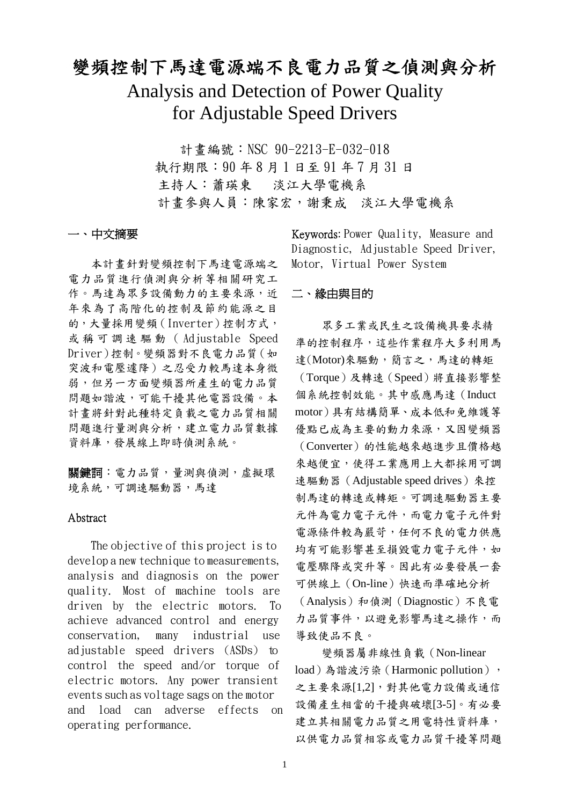# 變頻控制下馬達電源端不良電力品質之偵測與分析

Analysis and Detection of Power Quality for Adjustable Speed Drivers

> 計書編號: NSC 90-2213-E-032-018 執行期限:90 年 8 月 1 日至 91 年 7 月 31 日 主持人:蕭瑛東 淡江大學電機系 計畫參與人員:陳家宏,謝秉成 淡江大學電機系

#### 一、中文摘要

本計畫針對變頻控制下馬達電源端之 電力品質進行偵測與分析等相關研究工 作。馬達為眾多設備動力的主要來源,近 年來為了高階化的控制及節約能源之目 的,大量採用變頻(Inverter)控制方式, 或稱可調速驅動( Adjustable Speed Driver)控制。變頻器對不良電力品質(如 突波和電壓遽降)之忍受力較馬達本身微 弱,但另一方面變頻器所產生的電力品質 問題如諧波,可能干擾其他電器設備。本 計畫將針對此種特定負載之電力品質相關 問題進行量測與分析,建立電力品質數據 資料庫,發展線上即時偵測系統。

關鍵詞:電力品質,量測與偵測,虛擬環 境系統,可調速驅動器,馬達

#### Abstract

The objective of this project is to develop a new technique to measurements, analysis and diagnosis on the power quality. Most of machine tools are driven by the electric motors. To achieve advanced control and energy conservation, many industrial use adjustable speed drivers (ASDs) to control the speed and/or torque of electric motors. Any power transient events such as voltage sags on the motor and load can adverse effects on operating performance.

Keywords: Power Quality, Measure and Diagnostic, Adjustable Speed Driver, Motor, Virtual Power System

#### 二、緣由與目的

眾多工業或民生之設備機具要求精 準的控制程序,這些作業程序大多利用馬 達(Motor)來驅動,簡言之,馬達的轉矩 (Torque)及轉速(Speed)將直接影響整 個系統控制效能。其中感應馬達(Induct motor)具有結構簡單、成本低和免維護等 優點已成為主要的動力來源,又因變頻器 (Converter)的性能越來越進步且價格越 來越便宜,使得工業應用上大都採用可調 速驅動器 (Adjustable speed drives) 來控 制馬達的轉速或轉矩。可調速驅動器主要 元件為電力電子元件,而電力電子元件對 電源條件較為嚴苛,任何不良的電力供應 均有可能影響甚至損毀電力電子元件,如 電壓驟降或突升等。因此有必要發展一套 可供線上(On-line)快速而準確地分析 (Analysis)和偵測(Diagnostic)不良電 力品質事件,以避免影響馬達之操作,而 導致使品不良。

變頻器屬非線性負載(Non-linear load)為諧波污染(Harmonic pollution), 之主要來源[1,2],對其他電力設備或通信 設備產生相當的干擾與破壞[3-5]。有必要 建立其相關電力品質之用電特性資料庫, 以供電力品質相容或電力品質干擾等問題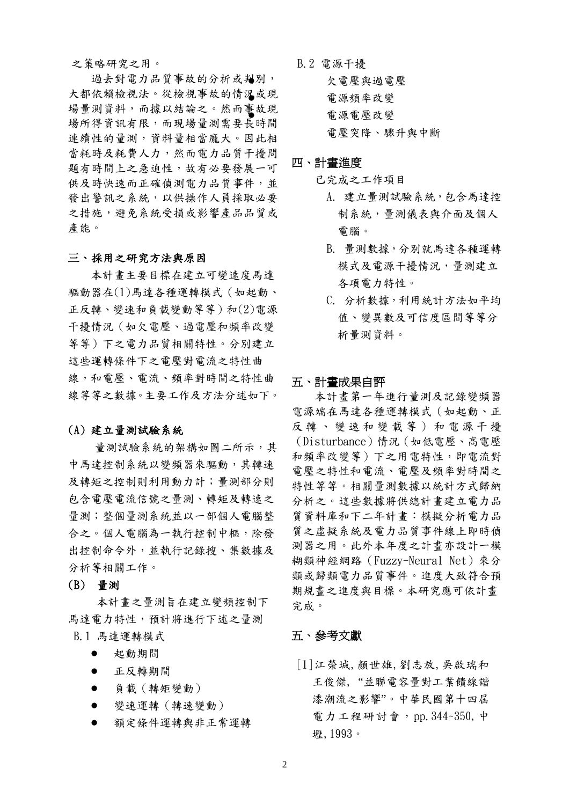#### 之策略研究之用。

過去對電力品質事故的分析或判別, 大都依賴檢視法。從檢視事故的情況或現 場量測資料,而據以結論之。然而事故現 場所得資訊有限,而現場量測需要長時間 連續性的量測,資料量相當龐大。因此相 當耗時及耗費人力,然而電力品質干擾問 題有時間上之急迫性,故有必要發展一可 供及時快速而正確偵測電力品質事件,並 發出警訊之系統,以供操作人員採取必要 之措施,避免系統受損或影響產品品質或 產能。

#### 三、採用之研究方法與原因

本計畫主要目標在建立可變速度馬達 驅動器在(1)馬達各種運轉模式(如起動、 正反轉、變速和負載變動等等)和(2)電源 干擾情況(如欠電壓、過電壓和頻率改變 等等)下之電力品質相關特性。分別建立 這些運轉條件下之電壓對電流之特性曲 線,和電壓、電流、頻率對時間之特性曲 線等等之數據。主要工作及方法分述如下。

#### (A) 建立量測試驗系統

量測試驗系統的架構如圖二所示,其 中馬達控制系統以變頻器來驅動,其轉速 及轉矩之控制則利用動力計;量測部分則 包含電壓電流信號之量測、轉矩及轉速之 量測;整個量測系統並以一部個人電腦整 合之。個人電腦為一執行控制中樞,除發 出控制命令外,並執行記錄搜、集數據及 分析等相關工作。

## (B) 量測

本計畫之量測旨在建立變頻控制下 馬達電力特性,預計將進行下述之量測 B.1 馬達運轉模式

- l 起動期間
- l 正反轉期間
- l 負載(轉矩變動)
- l 變速運轉(轉速變動)
- l 額定條件運轉與非正常運轉

B.2 電源干擾 欠電壓與過電壓 l 電源頻率改變 l 電源電壓改變 電壓突降、驟升與中斷

### 四、計畫進度

- 已完成之工作項目
	- A. 建立量測試驗系統,包含馬達控 制系統,量測儀表與介面及個人 電腦。
	- B. 量測數據,分別就馬達各種運轉 模式及電源干擾情況,量測建立 各項電力特性。
	- C. 分析數據,利用統計方法如平均 值、變異數及可信度區間等等分 析量測資料。

#### 五、計畫成果自評

本計畫第一年進行量測及記錄變頻器 電源端在馬達各種運轉模式(如起動、正 反轉、變速和變載等)和電源干擾 (Disturbance)情況(如低電壓、高電壓 和頻率改變等)下之用電特性,即電流對 電壓之特性和電流、電壓及頻率對時間之 特性等等。相關量測數據以統計方式歸納 分析之。這些數據將供總計畫建立電力品 質資料庫和下二年計畫:模擬分析電力品 質之虛擬系統及電力品質事件線上即時偵 測器之用。此外本年度之計畫亦設計一模 糊類神經網路(Fuzzy-Neural Net)來分 類或歸類電力品質事件。進度大致符合預 期規畫之進度與目標。本研究應可依計畫 完成。

# 五、參考文獻

[1]江榮城,顏世雄,劉志放,吳啟瑞和 王俊傑, "並聯電容量對工業饋線諧 潻潮流之影響"。中華民國第十四屆 電力工程研討會,pp. 344~350,中 壢,1993。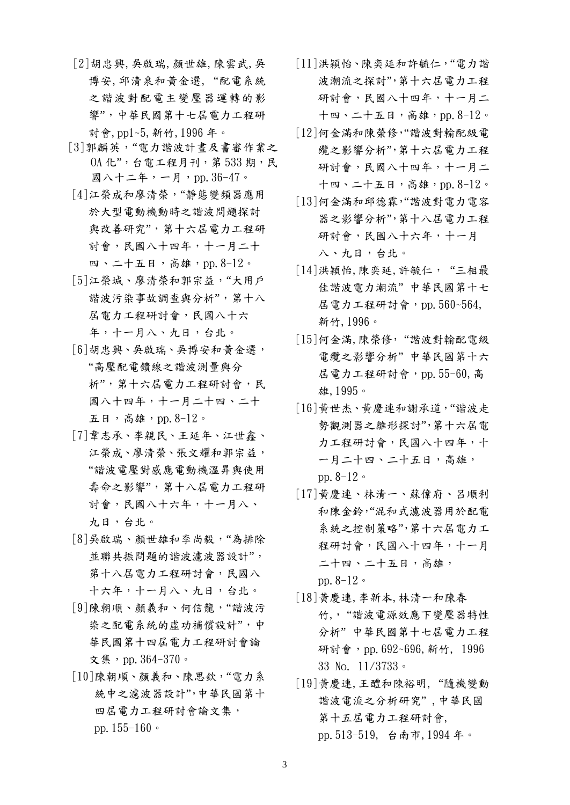- [2]胡忠興,吳啟瑞,顏世雄,陳雲武,吳 博安,邱清泉和黃金選, "配電系統 之諧波對配電主變壓器運轉的影 響",中華民國第十七屆電力工程研 討會,pp1~5,新竹,1996 年。
- [3]郭麟英,"電力諧波計畫及書審作業之  $0A$  化", 台電工程月刊, 第 533 期, 民 國八十二年,一月,pp.36-47。
- [4]江榮成和廖清榮,"靜態變頻器應用 於大型電動機動時之諧波問題探討 與改善研究",第十六屆電力工程研 討會,民國八十四年,十一月二十 四、二十五日, 高雄, pp. 8-12。
- [5]江榮城、廖清榮和郭宗益,"大用戶 諧波污染事故調查與分析",第十八 屆電力工程研討會,民國八十六 年,十一月八、九日,台北。
- [6]胡忠興、吳啟瑞、吳博安和黃金選, "高壓配電饋線之諧波測量與分 析",第十六屆電力工程研討會,民 國八十四年,十一月二十四、二十 五日,高雄,pp.8-12。
- [7]韋志承、李親民、王延年、江世鑫、 江榮成、廖清榮、張文耀和郭宗益, "諧波電壓對感應電動機溫昇與使用 壽命之影響",第十八屆電力工程研 討會,民國八十六年,十一月八、 九日,台北。
- [8]吳啟瑞、顏世雄和李尚毅,"為排除 並聯共振問題的諧波濾波器設計", 第十八屆電力工程研討會,民國八 十六年,十一月八、九日,台北。
- [9]陳朝順、顏義和、何信龍, "諧波污 染之配電系統的虛功補償設計",中 華民國第十四屆電力工程研討會論 文集, pp. 364-370。
- [10]陳朝順、顏義和、陳思欽,"電力系 統中之濾波器設計",中華民國第十 四屆電力工程研討會論文集, pp.155-160。
- [11]洪穎怡、陳奕廷和許毓仁,"電力諧 波潮流之探討",第十六屆電力工程 研討會,民國八十四年,十一月二 十四、二十五日, 高雄, pp.  $8-12$ 。
- [12]何金滿和陳榮修,"諧波對輸配級電 纜之影響分析",第十六屆電力工程 研討會,民國八十四年,十一月二 十四、二十五日, 高雄, pp.  $8-12$ 。
- [13]何金滿和邱德霖,"諧波對電力電容 器之影響分析",第十八屆電力工程 研討會,民國八十六年,十一月 八、九日,台北。
- [14]洪穎怡,陳奕延,許毓仁, "三相最 佳諧波電力潮流" 中華民國第十七 屆電力工程研討會,pp.560~564, 新竹,1996。
- [15]何金滿,陳榮修, "諧波對輸配電級 電纜之影響分析" 中華民國第十六 屆電力工程研討會,pp.55-60,高 雄,1995。
- [16]黃世杰、黃慶連和謝承道,"諧波走 勢觀測器之雛形探討",第十六屆電 力工程研討會,民國八十四年,十 一月二十四、二十五日,高雄, pp.8-12。
- [17]黃慶連、林清一、蘇偉府、呂順利 和陳金鈴,"混和式濾波器用於配電 系統之控制策略",第十六屆電力工 程研討會,民國八十四年,十一月 二十四、二十五日,高雄, pp.  $8-12$
- [18]黃慶連,李新本,林清一和陳春 竹,, "諧波電源效應下變壓器特性 分析" 中華民國第十七屆電力工程 研討會, pp. 692~696, 新竹, 1996 33 No. 11/3733。
- [19]黃慶連,王醴和陳裕明, "隨機變動 諧波電流之分析研究" ,中華民國 第十五屆電力工程研討會, pp.513-519, 台南市,1994 年。

3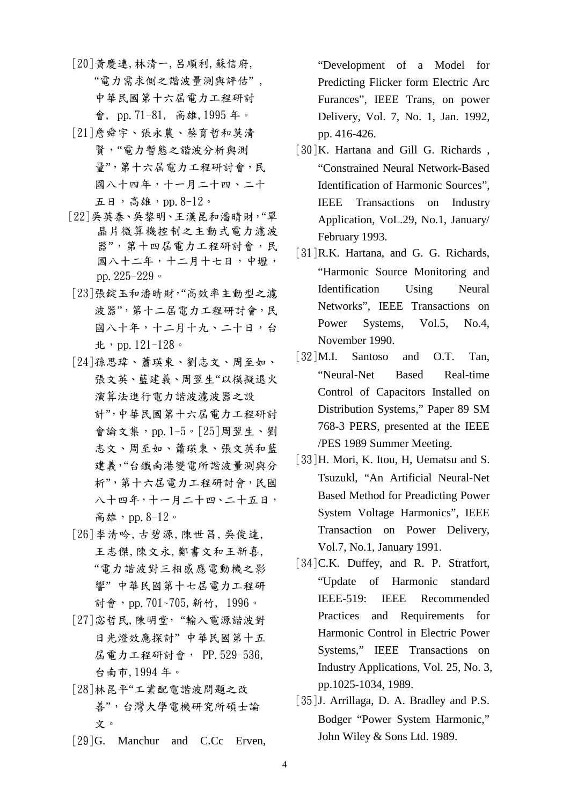- [20]黃慶連,林清一,呂順利,蘇信府, "電力需求側之諧波量測與評估" , 中華民國第十六屆電力工程研討 會, pp.71-81, 高雄,1995 年。
- [21]詹舜宇、張永農、蔡育哲和莫清 賢,"電力暫態之諧波分析與測 量",第十六屆電力工程研討會,民 國八十四年,十一月二十四、二十 五日,高雄,pp.8-12。
- [22]吳英泰、吳黎明、王漢昆和潘晴財,"單 晶片微算機控制之主動式電力濾波 器",第十四屆電力工程研討會,民 國八十二年,十二月十七日,中壢, pp.225-229。
- [23]張錠玉和潘晴財,"高效率主動型之濾 波器",第十二屆電力工程研討會,民 國八十年,十二月十九、二十日,台 北,pp.121-128。
- [24]孫思瑋、蕭瑛東、劉志文、周至如、 張文英、藍建義、周翌生"以模擬退火 演算法進行電力諧波濾波器之設 計",中華民國第十六屆電力工程研討 會論文集,pp.1-5。[25]周翌生、劉 志文、周至如、蕭瑛東、張文英和藍 建義,"台鐵南港變電所諧波量測與分 析",第十六屆電力工程研討會,民國 八十四年,十一月二十四、二十五日, 高雄,pp.8-12。
- [26]李清吟,古碧源,陳世昌,吳俊達, 王志傑,陳文永,鄭書文和王新喜, "電力諧波對三相感應電動機之影 響" 中華民國第十七屆電力工程研 討會,pp.701~705,新竹, 1996。
- [27]宓哲民,陳明堂, "輸入電源諧波對 日光燈效應探討" 中華民國第十五 屆電力工程研討會, PP.529-536, 台南市,1994 年。
- [28]林昆平"工業配電諧波問題之改 善",台灣大學電機研究所碩士論 文。
- [29] G. Manchur and C.Cc Erven,

"Development of a Model for Predicting Flicker form Electric Arc Furances", IEEE Trans, on power Delivery, Vol. 7, No. 1, Jan. 1992, pp. 416-426.

- [30]K. Hartana and Gill G. Richards, "Constrained Neural Network-Based Identification of Harmonic Sources", IEEE Transactions on Industry Application, VoL.29, No.1, January/ February 1993.
- [31]R.K. Hartana, and G. G. Richards, "Harmonic Source Monitoring and Identification Using Neural Networks", IEEE Transactions on Power Systems, Vol.5, No.4, November 1990.
- [32]M.I. Santoso and O.T. Tan, "Neural-Net Based Real-time Control of Capacitors Installed on Distribution Systems," Paper 89 SM 768-3 PERS, presented at the IEEE /PES 1989 Summer Meeting.
- [33]H. Mori, K. Itou, H, Uematsu and S. Tsuzukl, "An Artificial Neural-Net Based Method for Preadicting Power System Voltage Harmonics", IEEE Transaction on Power Delivery, Vol.7, No.1, January 1991.
- [34]C.K. Duffey, and R. P. Stratfort, "Update of Harmonic standard IEEE-519: IEEE Recommended Practices and Requirements for Harmonic Control in Electric Power Systems," IEEE Transactions on Industry Applications, Vol. 25, No. 3, pp.1025-1034, 1989.
- [35]J. Arrillaga, D. A. Bradley and P.S. Bodger "Power System Harmonic," John Wiley & Sons Ltd. 1989.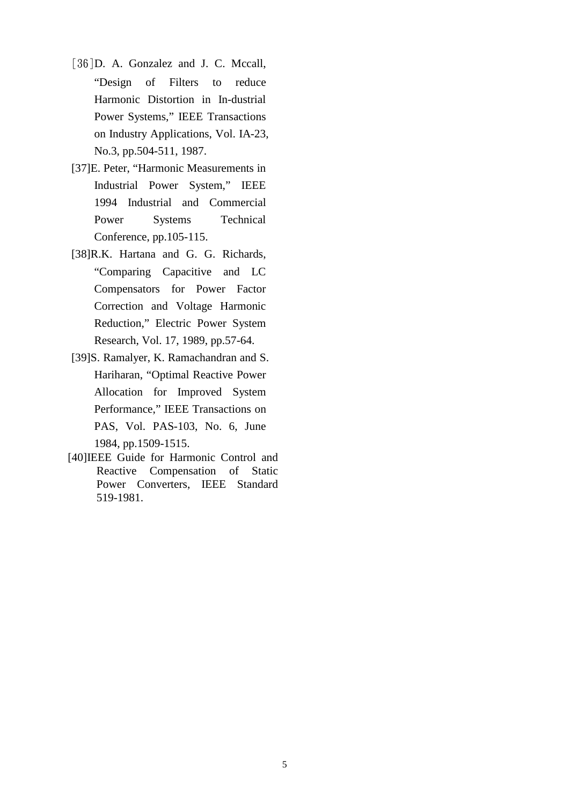- [36]D. A. Gonzalez and J. C. Mccall, "Design of Filters to reduce Harmonic Distortion in In-dustrial Power Systems," IEEE Transactions on Industry Applications, Vol. IA-23, No.3, pp.504-511, 1987.
- [37]E. Peter, "Harmonic Measurements in Industrial Power System," IEEE 1994 Industrial and Commercial Power Systems Technical Conference, pp.105-115.
- [38]R.K. Hartana and G. G. Richards, "Comparing Capacitive and LC Compensators for Power Factor Correction and Voltage Harmonic Reduction," Electric Power System Research, Vol. 17, 1989, pp.57-64.
- [39]S. Ramalyer, K. Ramachandran and S. Hariharan, "Optimal Reactive Power Allocation for Improved System Performance," IEEE Transactions on PAS, Vol. PAS-103, No. 6, June 1984, pp.1509-1515.
- [40]IEEE Guide for Harmonic Control and Reactive Compensation of Static Power Converters, IEEE Standard 519-1981.